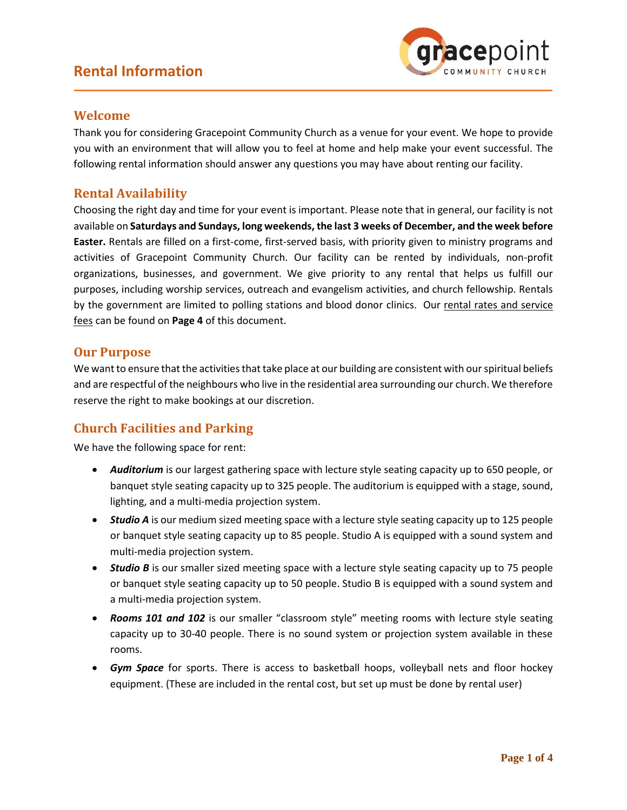

#### **Welcome**

Thank you for considering Gracepoint Community Church as a venue for your event. We hope to provide you with an environment that will allow you to feel at home and help make your event successful. The following rental information should answer any questions you may have about renting our facility.

#### **Rental Availability**

Choosing the right day and time for your event is important. Please note that in general, our facility is not available on **Saturdays and Sundays, long weekends, the last 3 weeks of December, and the week before Easter.** Rentals are filled on a first-come, first-served basis, with priority given to ministry programs and activities of Gracepoint Community Church. Our facility can be rented by individuals, non-profit organizations, businesses, and government. We give priority to any rental that helps us fulfill our purposes, including worship services, outreach and evangelism activities, and church fellowship. Rentals by the government are limited to polling stations and blood donor clinics. Our rental rates and service fees can be found on **Page 4** of this document.

#### **Our Purpose**

We want to ensure that the activities that take place at our building are consistent with our spiritual beliefs and are respectful of the neighbours who live in the residential area surrounding our church. We therefore reserve the right to make bookings at our discretion.

## **Church Facilities and Parking**

We have the following space for rent:

- *Auditorium* is our largest gathering space with lecture style seating capacity up to 650 people, or banquet style seating capacity up to 325 people. The auditorium is equipped with a stage, sound, lighting, and a multi-media projection system.
- *Studio A* is our medium sized meeting space with a lecture style seating capacity up to 125 people or banquet style seating capacity up to 85 people. Studio A is equipped with a sound system and multi-media projection system.
- **Studio B** is our smaller sized meeting space with a lecture style seating capacity up to 75 people or banquet style seating capacity up to 50 people. Studio B is equipped with a sound system and a multi-media projection system.
- *Rooms 101 and 102* is our smaller "classroom style" meeting rooms with lecture style seating capacity up to 30-40 people. There is no sound system or projection system available in these rooms.
- *Gym Space* for sports. There is access to basketball hoops, volleyball nets and floor hockey equipment. (These are included in the rental cost, but set up must be done by rental user)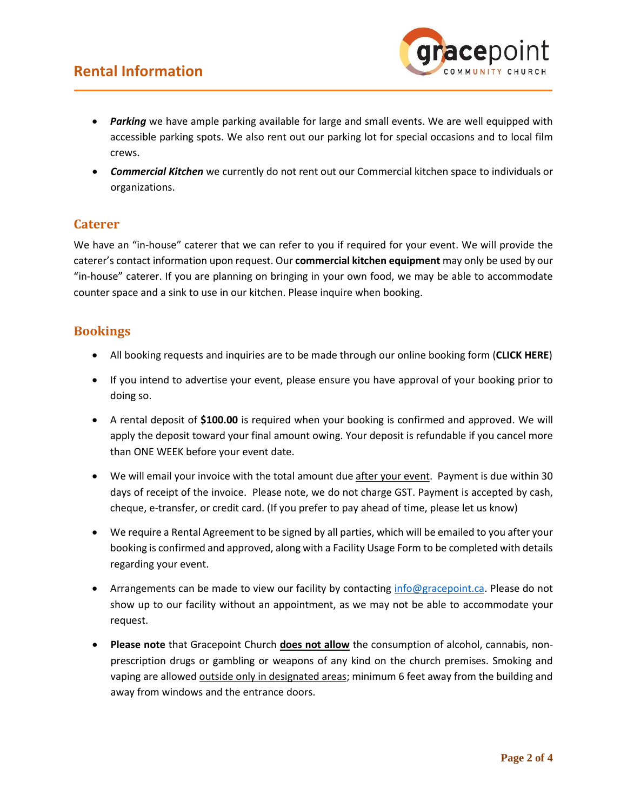

- *Parking* we have ample parking available for large and small events. We are well equipped with accessible parking spots. We also rent out our parking lot for special occasions and to local film crews.
- *Commercial Kitchen* we currently do not rent out our Commercial kitchen space to individuals or organizations.

#### **Caterer**

We have an "in-house" caterer that we can refer to you if required for your event. We will provide the caterer's contact information upon request. Our **commercial kitchen equipment** may only be used by our "in-house" caterer. If you are planning on bringing in your own food, we may be able to accommodate counter space and a sink to use in our kitchen. Please inquire when booking.

#### **Bookings**

- All booking requests and inquiries are to be made through our online booking form (**CLICK HERE**)
- If you intend to advertise your event, please ensure you have approval of your booking prior to doing so.
- A rental deposit of **\$100.00** is required when your booking is confirmed and approved. We will apply the deposit toward your final amount owing. Your deposit is refundable if you cancel more than ONE WEEK before your event date.
- We will email your invoice with the total amount due after your event. Payment is due within 30 days of receipt of the invoice. Please note, we do not charge GST. Payment is accepted by cash, cheque, e-transfer, or credit card. (If you prefer to pay ahead of time, please let us know)
- We require a Rental Agreement to be signed by all parties, which will be emailed to you after your booking is confirmed and approved, along with a Facility Usage Form to be completed with details regarding your event.
- Arrangements can be made to view our facility by contacting [info@gracepoint.ca.](mailto:info@gracepoint.ca) Please do not show up to our facility without an appointment, as we may not be able to accommodate your request.
- **Please note** that Gracepoint Church **does not allow** the consumption of alcohol, cannabis, nonprescription drugs or gambling or weapons of any kind on the church premises. Smoking and vaping are allowed outside only in designated areas; minimum 6 feet away from the building and away from windows and the entrance doors.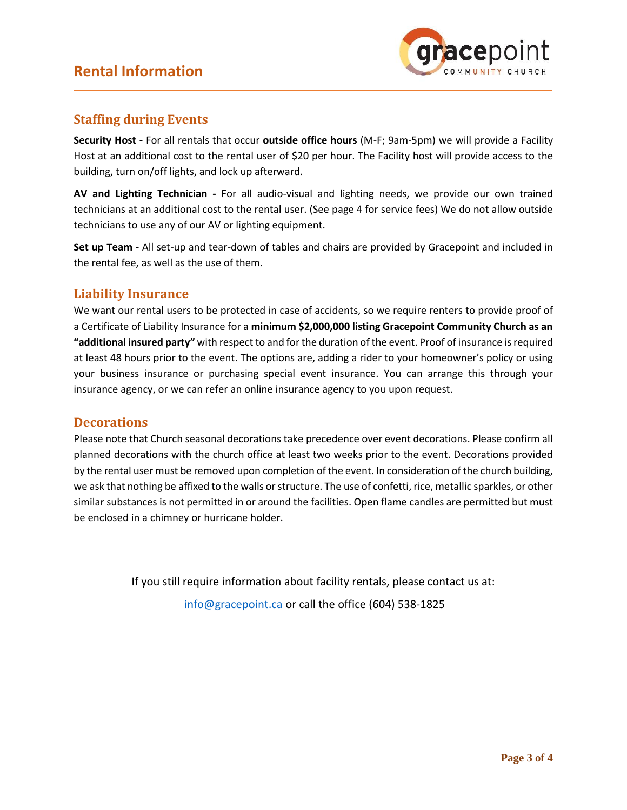

### **Staffing during Events**

**Security Host -** For all rentals that occur **outside office hours** (M-F; 9am-5pm) we will provide a Facility Host at an additional cost to the rental user of \$20 per hour. The Facility host will provide access to the building, turn on/off lights, and lock up afterward.

**AV and Lighting Technician -** For all audio-visual and lighting needs, we provide our own trained technicians at an additional cost to the rental user. (See page 4 for service fees) We do not allow outside technicians to use any of our AV or lighting equipment.

**Set up Team -** All set-up and tear-down of tables and chairs are provided by Gracepoint and included in the rental fee, as well as the use of them.

#### **Liability Insurance**

We want our rental users to be protected in case of accidents, so we require renters to provide proof of a Certificate of Liability Insurance for a **minimum \$2,000,000 listing Gracepoint Community Church as an "additional insured party"** with respect to and for the duration of the event. Proof of insurance is required at least 48 hours prior to the event. The options are, adding a rider to your homeowner's policy or using your business insurance or purchasing special event insurance. You can arrange this through your insurance agency, or we can refer an online insurance agency to you upon request.

#### **Decorations**

Please note that Church seasonal decorations take precedence over event decorations. Please confirm all planned decorations with the church office at least two weeks prior to the event. Decorations provided by the rental user must be removed upon completion of the event. In consideration of the church building, we ask that nothing be affixed to the walls or structure. The use of confetti, rice, metallic sparkles, or other similar substances is not permitted in or around the facilities. Open flame candles are permitted but must be enclosed in a chimney or hurricane holder.

> If you still require information about facility rentals, please contact us at: [info@gracepoint.ca](mailto:info@gracepoint.ca) or call the office (604) 538-1825